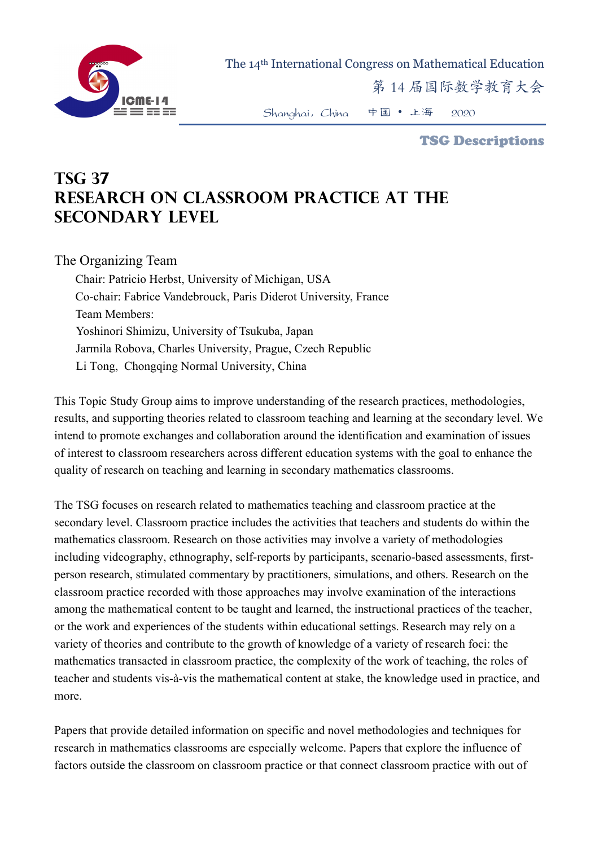

The 14th International Congress on Mathematical Education

第 14 届国际数学教育大会

Shanghai,China 中国 • 上海 2020

TSG Descriptions

## **TSG 37 Research on classroom practice at the secondary level**

The Organizing Team

Chair: Patricio Herbst, University of Michigan, USA Co-chair: Fabrice Vandebrouck, Paris Diderot University, France Team Members: Yoshinori Shimizu, University of Tsukuba, Japan Jarmila Robova, Charles University, Prague, Czech Republic Li Tong, Chongqing Normal University, China

This Topic Study Group aims to improve understanding of the research practices, methodologies, results, and supporting theories related to classroom teaching and learning at the secondary level. We intend to promote exchanges and collaboration around the identification and examination of issues of interest to classroom researchers across different education systems with the goal to enhance the quality of research on teaching and learning in secondary mathematics classrooms.

The TSG focuses on research related to mathematics teaching and classroom practice at the secondary level. Classroom practice includes the activities that teachers and students do within the mathematics classroom. Research on those activities may involve a variety of methodologies including videography, ethnography, self-reports by participants, scenario-based assessments, firstperson research, stimulated commentary by practitioners, simulations, and others. Research on the classroom practice recorded with those approaches may involve examination of the interactions among the mathematical content to be taught and learned, the instructional practices of the teacher, or the work and experiences of the students within educational settings. Research may rely on a variety of theories and contribute to the growth of knowledge of a variety of research foci: the mathematics transacted in classroom practice, the complexity of the work of teaching, the roles of teacher and students vis-à-vis the mathematical content at stake, the knowledge used in practice, and more.

Papers that provide detailed information on specific and novel methodologies and techniques for research in mathematics classrooms are especially welcome. Papers that explore the influence of factors outside the classroom on classroom practice or that connect classroom practice with out of